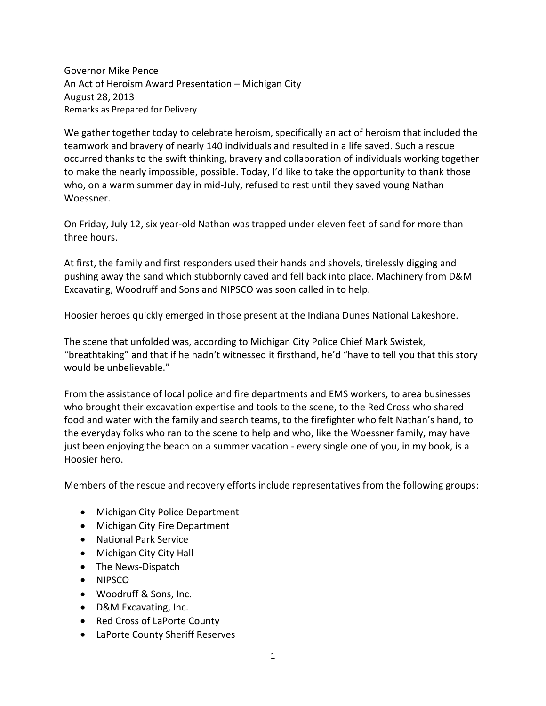Governor Mike Pence An Act of Heroism Award Presentation – Michigan City August 28, 2013 Remarks as Prepared for Delivery

We gather together today to celebrate heroism, specifically an act of heroism that included the teamwork and bravery of nearly 140 individuals and resulted in a life saved. Such a rescue occurred thanks to the swift thinking, bravery and collaboration of individuals working together to make the nearly impossible, possible. Today, I'd like to take the opportunity to thank those who, on a warm summer day in mid-July, refused to rest until they saved young Nathan Woessner.

On Friday, July 12, six year-old Nathan was trapped under eleven feet of sand for more than three hours.

At first, the family and first responders used their hands and shovels, tirelessly digging and pushing away the sand which stubbornly caved and fell back into place. Machinery from D&M Excavating, Woodruff and Sons and NIPSCO was soon called in to help.

Hoosier heroes quickly emerged in those present at the Indiana Dunes National Lakeshore.

The scene that unfolded was, according to Michigan City Police Chief Mark Swistek, "breathtaking" and that if he hadn't witnessed it firsthand, he'd "have to tell you that this story would be unbelievable."

From the assistance of local police and fire departments and EMS workers, to area businesses who brought their excavation expertise and tools to the scene, to the Red Cross who shared food and water with the family and search teams, to the firefighter who felt Nathan's hand, to the everyday folks who ran to the scene to help and who, like the Woessner family, may have just been enjoying the beach on a summer vacation - every single one of you, in my book, is a Hoosier hero.

Members of the rescue and recovery efforts include representatives from the following groups:

- Michigan City Police Department
- Michigan City Fire Department
- National Park Service
- Michigan City City Hall
- The News-Dispatch
- NIPSCO
- Woodruff & Sons, Inc.
- D&M Excavating, Inc.
- Red Cross of LaPorte County
- LaPorte County Sheriff Reserves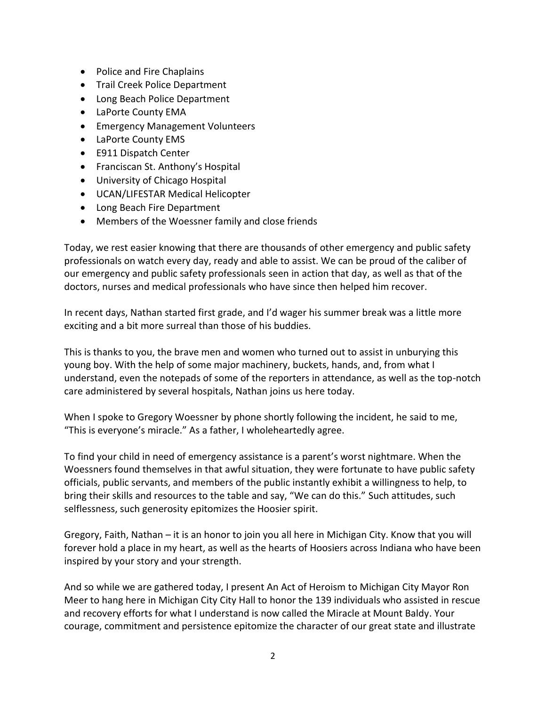- Police and Fire Chaplains
- **•** Trail Creek Police Department
- Long Beach Police Department
- LaPorte County EMA
- Emergency Management Volunteers
- LaPorte County EMS
- E911 Dispatch Center
- Franciscan St. Anthony's Hospital
- University of Chicago Hospital
- UCAN/LIFESTAR Medical Helicopter
- Long Beach Fire Department
- Members of the Woessner family and close friends

Today, we rest easier knowing that there are thousands of other emergency and public safety professionals on watch every day, ready and able to assist. We can be proud of the caliber of our emergency and public safety professionals seen in action that day, as well as that of the doctors, nurses and medical professionals who have since then helped him recover.

In recent days, Nathan started first grade, and I'd wager his summer break was a little more exciting and a bit more surreal than those of his buddies.

This is thanks to you, the brave men and women who turned out to assist in unburying this young boy. With the help of some major machinery, buckets, hands, and, from what I understand, even the notepads of some of the reporters in attendance, as well as the top-notch care administered by several hospitals, Nathan joins us here today.

When I spoke to Gregory Woessner by phone shortly following the incident, he said to me, "This is everyone's miracle." As a father, I wholeheartedly agree.

To find your child in need of emergency assistance is a parent's worst nightmare. When the Woessners found themselves in that awful situation, they were fortunate to have public safety officials, public servants, and members of the public instantly exhibit a willingness to help, to bring their skills and resources to the table and say, "We can do this." Such attitudes, such selflessness, such generosity epitomizes the Hoosier spirit.

Gregory, Faith, Nathan – it is an honor to join you all here in Michigan City. Know that you will forever hold a place in my heart, as well as the hearts of Hoosiers across Indiana who have been inspired by your story and your strength.

And so while we are gathered today, I present An Act of Heroism to Michigan City Mayor Ron Meer to hang here in Michigan City City Hall to honor the 139 individuals who assisted in rescue and recovery efforts for what I understand is now called the Miracle at Mount Baldy. Your courage, commitment and persistence epitomize the character of our great state and illustrate